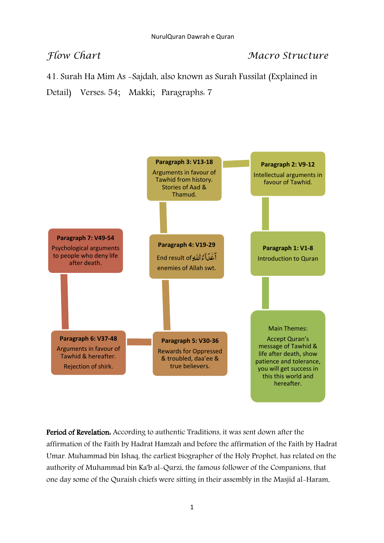## *Flow Chart* Macro Structure

41. Surah Ha Mim As -Sajdah, also known as Surah Fussilat (Explained in

Detail) Verses: 54; Makki; Paragraphs: 7



Period of Revelation: According to authentic Traditions, it was sent down after the affirmation of the Faith by Hadrat Hamzah and before the affirmation of the Faith by Hadrat Umar. Muhammad bin Ishaq, the earliest biographer of the Holy Prophet, has related on the authority of Muhammad bin Ka'b al-Qurzi, the famous follower of the Companions, that one day some of the Quraish chiefs were sitting in their assembly in the Masjid al-Haram,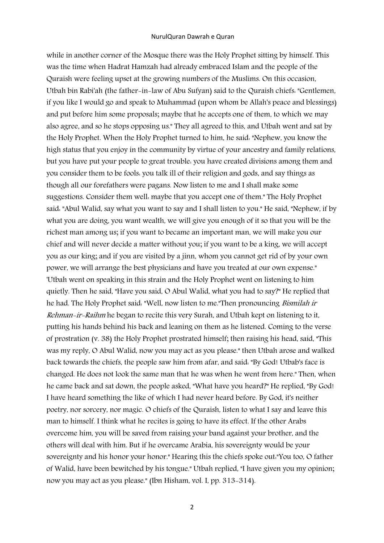## NurulQuran Dawrah e Quran

while in another corner of the Mosque there was the Holy Prophet sitting by himself. This was the time when Hadrat Hamzah had already embraced Islam and the people of the Quraish were feeling upset at the growing numbers of the Muslims. On this occasion, Utbah bin Rabi'ah (the father-in-law of Abu Sufyan) said to the Quraish chiefs: "Gentlemen, if you like I would go and speak to Muhammad (upon whom be Allah's peace and blessings) and put before him some proposals; maybe that he accepts one of them, to which we may also agree, and so he stops opposing us." They all agreed to this, and Utbah went and sat by the Holy Prophet. When the Holy Prophet turned to him, he said: "Nephew, you know the high status that you enjoy in the community by virtue of your ancestry and family relations, but you have put your people to great trouble: you have created divisions among them and you consider them to be fools: you talk ill of their religion and gods, and say things as though all our forefathers were pagans. Now listen to me and I shall make some suggestions. Consider them well: maybe that you accept one of them." The Holy Prophet said: "Abul Walid, say what you want to say and I shall listen to you." He said, "Nephew, if by what you are doing, you want wealth, we will give you enough of it so that you will be the richest man among us; if you want to became an important man, we will make you our chief and will never decide a matter without you; if you want to be a king, we will accept you as our king; and if you are visited by a jinn, whom you cannot get rid of by your own power, we will arrange the best physicians and have you treated at our own expense." 'Utbah went on speaking in this strain and the Holy Prophet went on listening to him quietly. Then he said, "Have you said, O Abul Walid, what you had to say?" He replied that he had. The Holy Prophet said: "Well, now listen to me."Then pronouncing Bismilah ir Rehman-ir-Raihm he began to recite this very Surah, and Utbah kept on listening to it, putting his hands behind his back and leaning on them as he listened. Coming to the verse of prostration (v. 38) the Holy Prophet prostrated himself; then raising his head, said, "This was my reply, O Abul Walid, now you may act as you please." then Utbah arose and walked back towards the chiefs, the people saw him from afar, and said: "By God! Utbab's face is changed. He does not look the same man that he was when he went from here." Then, when he came back and sat down, the people asked, "What have you heard?" He replied, "By God! I have heard something the like of which I had never heard before. By God, it's neither poetry, nor sorcery, nor magic. O chiefs of the Quraish, listen to what I say and leave this man to himself. I think what he recites is going to have its effect. If the other Arabs overcome him, you will be saved from raising your band against your brother, and the others will deal with him. But if he overcame Arabia, his sovereignty would be your sovereignty and his honor your honor." Hearing this the chiefs spoke out:"You too, O father of Walid, have been bewitched by his tongue." Utbah replied, "I have given you my opinion; now you may act as you please." (Ibn Hisham, vol. I, pp. 313-314).